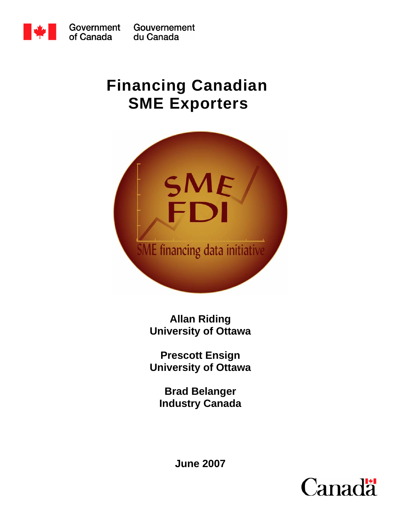

Gouvernement du Canada

# **Financing Canadian SME Exporters**



**Allan Riding University of Ottawa** 

**Prescott Ensign University of Ottawa** 

**Brad Belanger Industry Canada** 

**June 2007**

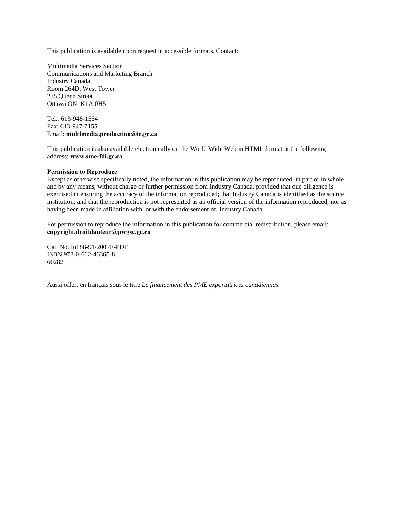This publication is available upon request in accessible formats. Contact:

Multimedia Services Section Communications and Marketing Branch Industry Canada Room 264D, West Tower 235 Queen Street Ottawa ON K1A 0H5

Tel.: 613-948-1554 Fax: 613-947-7155 Email: **multimedia.production@ic.gc.ca**

This publication is also available electronically on the World Wide Web in HTML format at the following address: **www.sme-fdi.gc.ca**

#### **Permission to Reproduce**

Except as otherwise specifically noted, the information in this publication may be reproduced, in part or in whole and by any means, without charge or further permission from Industry Canada, provided that due diligence is exercised in ensuring the accuracy of the information reproduced; that Industry Canada is identified as the source institution; and that the reproduction is not represented as an official version of the information reproduced, nor as having been made in affiliation with, or with the endorsement of, Industry Canada.

For permission to reproduce the information in this publication for commercial redistribution, please email: **copyright.droitdauteur@pwgsc.gc.ca**

Cat. No. Iu188-91/2007E-PDF ISBN 978-0-662-46365-8 60282

Aussi offert en français sous le titre *Le financement des PME exportatrices canadiennes*.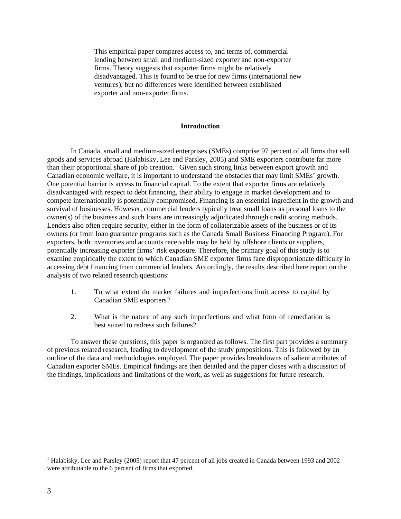This empirical paper compares access to, and terms of, commercial lending between small and medium-sized exporter and non-exporter firms. Theory suggests that exporter firms might be relatively disadvantaged. This is found to be true for new firms (international new ventures), but no differences were identified between established exporter and non-exporter firms.

## **Introduction**

In Canada, small and medium-sized enterprises (SMEs) comprise 97 percent of all firms that sell goods and services abroad (Halabisky, Lee and Parsley, 2005) and SME exporters contribute far more than their proportional share of job creation.<sup>[1](#page-2-0)</sup> Given such strong links between export growth and Canadian economic welfare, it is important to understand the obstacles that may limit SMEs' growth. One potential barrier is access to financial capital. To the extent that exporter firms are relatively disadvantaged with respect to debt financing, their ability to engage in market development and to compete internationally is potentially compromised. Financing is an essential ingredient in the growth and survival of businesses. However, commercial lenders typically treat small loans as personal loans to the owner(s) of the business and such loans are increasingly adjudicated through credit scoring methods. Lenders also often require security, either in the form of collaterizable assets of the business or of its owners (or from loan guarantee programs such as the Canada Small Business Financing Program). For exporters, both inventories and accounts receivable may be held by offshore clients or suppliers, potentially increasing exporter firms' risk exposure. Therefore, the primary goal of this study is to examine empirically the extent to which Canadian SME exporter firms face disproportionate difficulty in accessing debt financing from commercial lenders. Accordingly, the results described here report on the analysis of two related research questions:

- 1. To what extent do market failures and imperfections limit access to capital by Canadian SME exporters?
- 2. What is the nature of any such imperfections and what form of remediation is best suited to redress such failures?

To answer these questions, this paper is organized as follows. The first part provides a summary of previous related research, leading to development of the study propositions. This is followed by an outline of the data and methodologies employed. The paper provides breakdowns of salient attributes of Canadian exporter SMEs. Empirical findings are then detailed and the paper closes with a discussion of the findings, implications and limitations of the work, as well as suggestions for future research.

<span id="page-2-0"></span><sup>&</sup>lt;sup>1</sup> Halabisky, Lee and Parsley (2005) report that 47 percent of all jobs created in Canada between 1993 and 2002 were attributable to the 6 percent of firms that exported.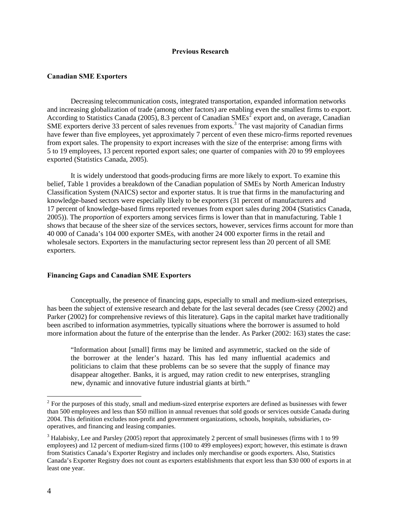#### **Previous Research**

#### **Canadian SME Exporters**

Decreasing telecommunication costs, integrated transportation, expanded information networks and increasing globalization of trade (among other factors) are enabling even the smallest firms to export. According to Statistics Canada ([2](#page-3-0)005), 8.3 percent of Canadian  $\text{SMEs}^2$  export and, on average, Canadian SME exporters derive [3](#page-3-1)3 percent of sales revenues from exports.<sup>3</sup> The vast majority of Canadian firms have fewer than five employees, yet approximately 7 percent of even these micro-firms reported revenues from export sales. The propensity to export increases with the size of the enterprise: among firms with 5 to 19 employees, 13 percent reported export sales; one quarter of companies with 20 to 99 employees exported (Statistics Canada, 2005).

It is widely understood that goods-producing firms are more likely to export. To examine this belief, Table 1 provides a breakdown of the Canadian population of SMEs by North American Industry Classification System (NAICS) sector and exporter status. It is true that firms in the manufacturing and knowledge-based sectors were especially likely to be exporters (31 percent of manufacturers and 17 percent of knowledge-based firms reported revenues from export sales during 2004 (Statistics Canada, 2005)). The *proportion* of exporters among services firms is lower than that in manufacturing. Table 1 shows that because of the sheer size of the services sectors, however, services firms account for more than 40 000 of Canada's 104 000 exporter SMEs, with another 24 000 exporter firms in the retail and wholesale sectors. Exporters in the manufacturing sector represent less than 20 percent of all SME exporters.

#### **Financing Gaps and Canadian SME Exporters**

Conceptually, the presence of financing gaps, especially to small and medium-sized enterprises, has been the subject of extensive research and debate for the last several decades (see Cressy (2002) and Parker (2002) for comprehensive reviews of this literature). Gaps in the capital market have traditionally been ascribed to information asymmetries, typically situations where the borrower is assumed to hold more information about the future of the enterprise than the lender. As Parker (2002: 163) states the case:

"Information about [small] firms may be limited and asymmetric, stacked on the side of the borrower at the lender's hazard. This has led many influential academics and politicians to claim that these problems can be so severe that the supply of finance may disappear altogether. Banks, it is argued, may ration credit to new enterprises, strangling new, dynamic and innovative future industrial giants at birth."

<span id="page-3-0"></span> $2$  For the purposes of this study, small and medium-sized enterprise exporters are defined as businesses with fewer than 500 employees and less than \$50 million in annual revenues that sold goods or services outside Canada during 2004. This definition excludes non-profit and government organizations, schools, hospitals, subsidiaries, cooperatives, and financing and leasing companies.

<span id="page-3-1"></span> $3$  Halabisky, Lee and Parsley (2005) report that approximately 2 percent of small businesses (firms with 1 to 99 employees) and 12 percent of medium-sized firms (100 to 499 employees) export; however, this estimate is drawn from Statistics Canada's Exporter Registry and includes only merchandise or goods exporters. Also, Statistics Canada's Exporter Registry does not count as exporters establishments that export less than \$30 000 of exports in at least one year.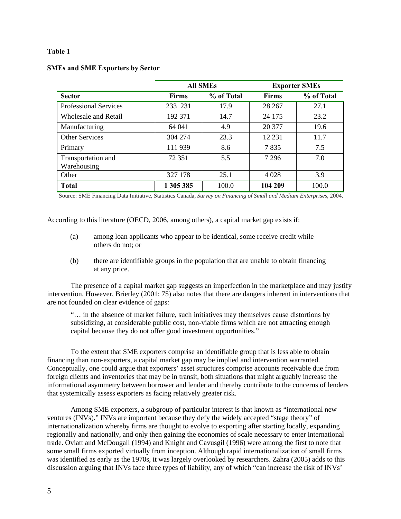|                                   |              | <b>All SMEs</b> |              | <b>Exporter SMEs</b> |  |
|-----------------------------------|--------------|-----------------|--------------|----------------------|--|
| <b>Sector</b>                     | <b>Firms</b> | % of Total      | <b>Firms</b> | % of Total           |  |
| <b>Professional Services</b>      | 233 231      | 17.9            | 28 267       | 27.1                 |  |
| Wholesale and Retail              | 192 371      | 14.7            | 24 175       | 23.2                 |  |
| Manufacturing                     | 64 041       | 4.9             | 20 377       | 19.6                 |  |
| <b>Other Services</b>             | 304 274      | 23.3            | 12 231       | 11.7                 |  |
| Primary                           | 111 939      | 8.6             | 7835         | 7.5                  |  |
| Transportation and<br>Warehousing | 72 351       | 5.5             | 7 2 9 6      | 7.0                  |  |
| Other                             | 327 178      | 25.1            | 4 0 2 8      | 3.9                  |  |
| <b>Total</b>                      | 1 305 385    | 100.0           | 104 209      | 100.0                |  |

## **SMEs and SME Exporters by Sector**

Source: SME Financing Data Initiative, Statistics Canada, *Survey on Financing of Small and Medium Enterprises*, 2004.

According to this literature (OECD, 2006, among others), a capital market gap exists if:

- (a) among loan applicants who appear to be identical, some receive credit while others do not; or
- (b) there are identifiable groups in the population that are unable to obtain financing at any price.

The presence of a capital market gap suggests an imperfection in the marketplace and may justify intervention. However, Brierley (2001: 75) also notes that there are dangers inherent in interventions that are not founded on clear evidence of gaps:

"… in the absence of market failure, such initiatives may themselves cause distortions by subsidizing, at considerable public cost, non-viable firms which are not attracting enough capital because they do not offer good investment opportunities."

To the extent that SME exporters comprise an identifiable group that is less able to obtain financing than non-exporters, a capital market gap may be implied and intervention warranted. Conceptually, one could argue that exporters' asset structures comprise accounts receivable due from foreign clients and inventories that may be in transit, both situations that might arguably increase the informational asymmetry between borrower and lender and thereby contribute to the concerns of lenders that systemically assess exporters as facing relatively greater risk.

Among SME exporters, a subgroup of particular interest is that known as "international new ventures (INVs)." INVs are important because they defy the widely accepted "stage theory" of internationalization whereby firms are thought to evolve to exporting after starting locally, expanding regionally and nationally, and only then gaining the economies of scale necessary to enter international trade. Oviatt and McDougall (1994) and Knight and Cavusgil (1996) were among the first to note that some small firms exported virtually from inception. Although rapid internationalization of small firms was identified as early as the 1970s, it was largely overlooked by researchers. Zahra (2005) adds to this discussion arguing that INVs face three types of liability, any of which "can increase the risk of INVs'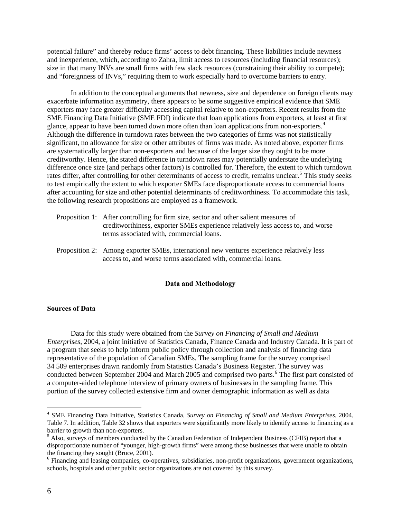potential failure" and thereby reduce firms' access to debt financing. These liabilities include newness and inexperience, which, according to Zahra, limit access to resources (including financial resources); size in that many INVs are small firms with few slack resources (constraining their ability to compete); and "foreignness of INVs," requiring them to work especially hard to overcome barriers to entry.

In addition to the conceptual arguments that newness, size and dependence on foreign clients may exacerbate information asymmetry, there appears to be some suggestive empirical evidence that SME exporters may face greater difficulty accessing capital relative to non-exporters. Recent results from the SME Financing Data Initiative (SME FDI) indicate that loan applications from exporters, at least at first glance, appear to have been turned down more often than loan applications from non-exporters.<sup>[4](#page-5-0)</sup> Although the difference in turndown rates between the two categories of firms was not statistically significant, no allowance for size or other attributes of firms was made. As noted above, exporter firms are systematically larger than non-exporters and because of the larger size they ought to be more creditworthy. Hence, the stated difference in turndown rates may potentially understate the underlying difference once size (and perhaps other factors) is controlled for. Therefore, the extent to which turndown rates differ, after controlling for other determinants of access to credit, remains unclear.<sup>[5](#page-5-1)</sup> This study seeks to test empirically the extent to which exporter SMEs face disproportionate access to commercial loans after accounting for size and other potential determinants of creditworthiness. To accommodate this task, the following research propositions are employed as a framework.

- Proposition 1: After controlling for firm size, sector and other salient measures of creditworthiness, exporter SMEs experience relatively less access to, and worse terms associated with, commercial loans.
- Proposition 2: Among exporter SMEs, international new ventures experience relatively less access to, and worse terms associated with, commercial loans.

#### **Data and Methodology**

#### **Sources of Data**

Data for this study were obtained from the *Survey on Financing of Small and Medium Enterprises*, 2004, a joint initiative of Statistics Canada, Finance Canada and Industry Canada. It is part of a program that seeks to help inform public policy through collection and analysis of financing data representative of the population of Canadian SMEs. The sampling frame for the survey comprised 34 509 enterprises drawn randomly from Statistics Canada's Business Register. The survey was conducted between September 2004 and March 2005 and comprised two parts.<sup>[6](#page-5-2)</sup> The first part consisted of a computer-aided telephone interview of primary owners of businesses in the sampling frame. This portion of the survey collected extensive firm and owner demographic information as well as data

<span id="page-5-0"></span><sup>4</sup> SME Financing Data Initiative, Statistics Canada, *Survey on Financing of Small and Medium Enterprises*, 2004, Table 7. In addition, Table 32 shows that exporters were significantly more likely to identify access to financing as a barrier to growth than non-exporters.

<span id="page-5-1"></span><sup>&</sup>lt;sup>5</sup> Also, surveys of members conducted by the Canadian Federation of Independent Business (CFIB) report that a disproportionate number of "younger, high-growth firms" were among those businesses that were unable to obtain the financing they sought (Bruce, 2001).

<span id="page-5-2"></span><sup>&</sup>lt;sup>6</sup> Financing and leasing companies, co-operatives, subsidiaries, non-profit organizations, government organizations, schools, hospitals and other public sector organizations are not covered by this survey.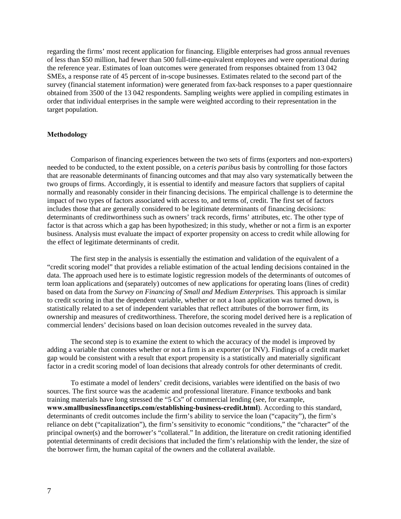regarding the firms' most recent application for financing. Eligible enterprises had gross annual revenues of less than \$50 million, had fewer than 500 full-time-equivalent employees and were operational during the reference year. Estimates of loan outcomes were generated from responses obtained from 13 042 SMEs, a response rate of 45 percent of in-scope businesses. Estimates related to the second part of the survey (financial statement information) were generated from fax-back responses to a paper questionnaire obtained from 3500 of the 13 042 respondents. Sampling weights were applied in compiling estimates in order that individual enterprises in the sample were weighted according to their representation in the target population.

#### **Methodology**

Comparison of financing experiences between the two sets of firms (exporters and non-exporters) needed to be conducted, to the extent possible, on a *ceteris paribus* basis by controlling for those factors that are reasonable determinants of financing outcomes and that may also vary systematically between the two groups of firms. Accordingly, it is essential to identify and measure factors that suppliers of capital normally and reasonably consider in their financing decisions. The empirical challenge is to determine the impact of two types of factors associated with access to, and terms of, credit. The first set of factors includes those that are generally considered to be legitimate determinants of financing decisions: determinants of creditworthiness such as owners' track records, firms' attributes, etc. The other type of factor is that across which a gap has been hypothesized; in this study, whether or not a firm is an exporter business. Analysis must evaluate the impact of exporter propensity on access to credit while allowing for the effect of legitimate determinants of credit.

The first step in the analysis is essentially the estimation and validation of the equivalent of a "credit scoring model" that provides a reliable estimation of the actual lending decisions contained in the data. The approach used here is to estimate logistic regression models of the determinants of outcomes of term loan applications and (separately) outcomes of new applications for operating loans (lines of credit) based on data from the *Survey on Financing of Small and Medium Enterprises.* This approach is similar to credit scoring in that the dependent variable, whether or not a loan application was turned down, is statistically related to a set of independent variables that reflect attributes of the borrower firm, its ownership and measures of creditworthiness. Therefore, the scoring model derived here is a replication of commercial lenders' decisions based on loan decision outcomes revealed in the survey data.

The second step is to examine the extent to which the accuracy of the model is improved by adding a variable that connotes whether or not a firm is an exporter (or INV). Findings of a credit market gap would be consistent with a result that export propensity is a statistically and materially significant factor in a credit scoring model of loan decisions that already controls for other determinants of credit.

To estimate a model of lenders' credit decisions, variables were identified on the basis of two sources. The first source was the academic and professional literature. Finance textbooks and bank training materials have long stressed the "5 Cs" of commercial lending (see, for example, **www.smallbusinessfinancetips.com/establishing-business-credit.html**). According to this standard, determinants of credit outcomes include the firm's ability to service the loan ("capacity"), the firm's reliance on debt ("capitalization"), the firm's sensitivity to economic "conditions," the "character" of the principal owner(s) and the borrower's "collateral." In addition, the literature on credit rationing identified potential determinants of credit decisions that included the firm's relationship with the lender, the size of the borrower firm, the human capital of the owners and the collateral available.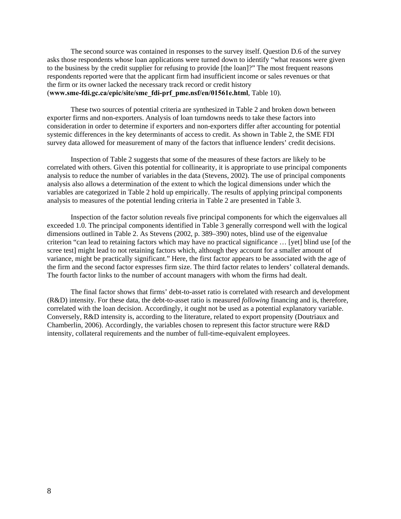The second source was contained in responses to the survey itself. Question D.6 of the survey asks those respondents whose loan applications were turned down to identify "what reasons were given to the business by the credit supplier for refusing to provide [the loan]?" The most frequent reasons respondents reported were that the applicant firm had insufficient income or sales revenues or that the firm or its owner lacked the necessary track record or credit history (**www.sme-fdi.gc.ca/epic/site/sme\_fdi-prf\_pme.nsf/en/01561e.html**, Table 10).

These two sources of potential criteria are synthesized in Table 2 and broken down between exporter firms and non-exporters. Analysis of loan turndowns needs to take these factors into consideration in order to determine if exporters and non-exporters differ after accounting for potential systemic differences in the key determinants of access to credit. As shown in Table 2, the SME FDI survey data allowed for measurement of many of the factors that influence lenders' credit decisions.

Inspection of Table 2 suggests that some of the measures of these factors are likely to be correlated with others. Given this potential for collinearity, it is appropriate to use principal components analysis to reduce the number of variables in the data (Stevens, 2002). The use of principal components analysis also allows a determination of the extent to which the logical dimensions under which the variables are categorized in Table 2 hold up empirically. The results of applying principal components analysis to measures of the potential lending criteria in Table 2 are presented in Table 3.

Inspection of the factor solution reveals five principal components for which the eigenvalues all exceeded 1.0. The principal components identified in Table 3 generally correspond well with the logical dimensions outlined in Table 2. As Stevens (2002, p. 389–390) notes, blind use of the eigenvalue criterion "can lead to retaining factors which may have no practical significance … [yet] blind use [of the scree test] might lead to not retaining factors which, although they account for a smaller amount of variance, might be practically significant." Here, the first factor appears to be associated with the age of the firm and the second factor expresses firm size. The third factor relates to lenders' collateral demands. The fourth factor links to the number of account managers with whom the firms had dealt.

The final factor shows that firms' debt-to-asset ratio is correlated with research and development (R&D) intensity. For these data, the debt-to-asset ratio is measured *following* financing and is, therefore, correlated with the loan decision. Accordingly, it ought not be used as a potential explanatory variable. Conversely, R&D intensity is, according to the literature, related to export propensity (Doutriaux and Chamberlin, 2006). Accordingly, the variables chosen to represent this factor structure were R&D intensity, collateral requirements and the number of full-time-equivalent employees.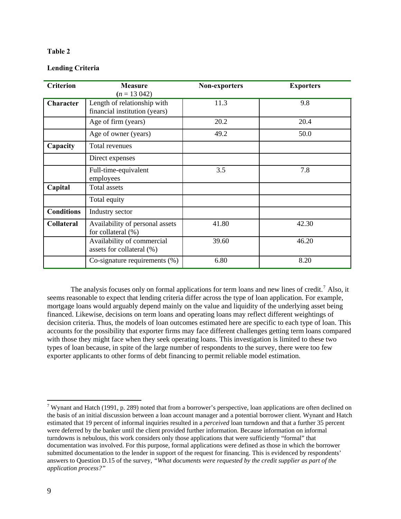# **Lending Criteria**

| <b>Criterion</b>  | <b>Measure</b><br>$(n = 13042)$                              | <b>Non-exporters</b> | <b>Exporters</b> |
|-------------------|--------------------------------------------------------------|----------------------|------------------|
| Character         | Length of relationship with<br>financial institution (years) | 11.3                 | 9.8              |
|                   | Age of firm (years)                                          | 20.2                 | 20.4             |
|                   | Age of owner (years)                                         | 49.2                 | 50.0             |
| Capacity          | Total revenues                                               |                      |                  |
|                   | Direct expenses                                              |                      |                  |
|                   | Full-time-equivalent<br>employees                            | 3.5                  | 7.8              |
| Capital           | Total assets                                                 |                      |                  |
|                   | Total equity                                                 |                      |                  |
| <b>Conditions</b> | Industry sector                                              |                      |                  |
| Collateral        | Availability of personal assets<br>for collateral (%)        | 41.80                | 42.30            |
|                   | Availability of commercial<br>assets for collateral (%)      | 39.60                | 46.20            |
|                   | Co-signature requirements $(\%)$                             | 6.80                 | 8.20             |

The analysis focuses only on formal applications for term loans and new lines of credit.<sup>[7](#page-8-0)</sup> Also, it seems reasonable to expect that lending criteria differ across the type of loan application. For example, mortgage loans would arguably depend mainly on the value and liquidity of the underlying asset being financed. Likewise, decisions on term loans and operating loans may reflect different weightings of decision criteria. Thus, the models of loan outcomes estimated here are specific to each type of loan. This accounts for the possibility that exporter firms may face different challenges getting term loans compared with those they might face when they seek operating loans. This investigation is limited to these two types of loan because, in spite of the large number of respondents to the survey, there were too few exporter applicants to other forms of debt financing to permit reliable model estimation.

<span id="page-8-0"></span><sup>&</sup>lt;sup>7</sup> Wynant and Hatch (1991, p. 289) noted that from a borrower's perspective, loan applications are often declined on the basis of an initial discussion between a loan account manager and a potential borrower client. Wynant and Hatch estimated that 19 percent of informal inquiries resulted in a *perceived* loan turndown and that a further 35 percent were deferred by the banker until the client provided further information. Because information on informal turndowns is nebulous, this work considers only those applications that were sufficiently "formal" that documentation was involved. For this purpose, formal applications were defined as those in which the borrower submitted documentation to the lender in support of the request for financing. This is evidenced by respondents' answers to Question D.15 of the survey, *"What documents were requested by the credit supplier as part of the application process?"*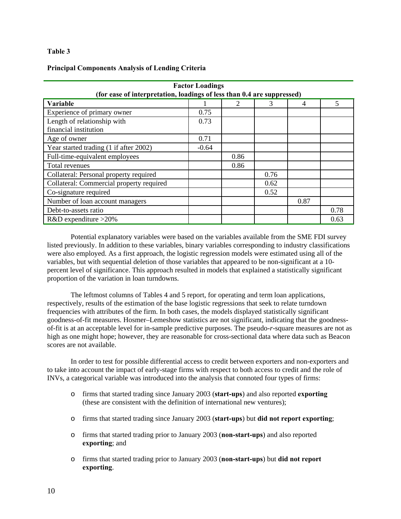## **Principal Components Analysis of Lending Criteria**

| <b>Factor Loadings</b>                                                 |         |      |      |      |      |  |  |  |
|------------------------------------------------------------------------|---------|------|------|------|------|--|--|--|
| (for ease of interpretation, loadings of less than 0.4 are suppressed) |         |      |      |      |      |  |  |  |
| <b>Variable</b>                                                        |         |      |      | 4    | 5    |  |  |  |
| Experience of primary owner                                            | 0.75    |      |      |      |      |  |  |  |
| Length of relationship with                                            | 0.73    |      |      |      |      |  |  |  |
| financial institution                                                  |         |      |      |      |      |  |  |  |
| Age of owner                                                           | 0.71    |      |      |      |      |  |  |  |
| Year started trading (1 if after 2002)                                 | $-0.64$ |      |      |      |      |  |  |  |
| Full-time-equivalent employees                                         |         | 0.86 |      |      |      |  |  |  |
| Total revenues                                                         |         | 0.86 |      |      |      |  |  |  |
| Collateral: Personal property required                                 |         |      | 0.76 |      |      |  |  |  |
| Collateral: Commercial property required                               |         |      | 0.62 |      |      |  |  |  |
| Co-signature required                                                  |         |      | 0.52 |      |      |  |  |  |
| Number of loan account managers                                        |         |      |      | 0.87 |      |  |  |  |
| Debt-to-assets ratio                                                   |         |      |      |      | 0.78 |  |  |  |
| $R&D$ expenditure >20%                                                 |         |      |      |      | 0.63 |  |  |  |

Potential explanatory variables were based on the variables available from the SME FDI survey listed previously. In addition to these variables, binary variables corresponding to industry classifications were also employed. As a first approach, the logistic regression models were estimated using all of the variables, but with sequential deletion of those variables that appeared to be non-significant at a 10 percent level of significance. This approach resulted in models that explained a statistically significant proportion of the variation in loan turndowns.

The leftmost columns of Tables 4 and 5 report, for operating and term loan applications, respectively, results of the estimation of the base logistic regressions that seek to relate turndown frequencies with attributes of the firm. In both cases, the models displayed statistically significant goodness-of-fit measures. Hosmer–Lemeshow statistics are not significant, indicating that the goodnessof-fit is at an acceptable level for in-sample predictive purposes. The pseudo-*r*-square measures are not as high as one might hope; however, they are reasonable for cross-sectional data where data such as Beacon scores are not available.

In order to test for possible differential access to credit between exporters and non-exporters and to take into account the impact of early-stage firms with respect to both access to credit and the role of INVs, a categorical variable was introduced into the analysis that connoted four types of firms:

- o firms that started trading since January 2003 (**start-ups**) and also reported **exporting**  (these are consistent with the definition of international new ventures);
- o firms that started trading since January 2003 (**start-ups**) but **did not report exporting**;
- o firms that started trading prior to January 2003 (**non-start-ups**) and also reported **exporting**; and
- o firms that started trading prior to January 2003 (**non-start-ups**) but **did not report exporting**.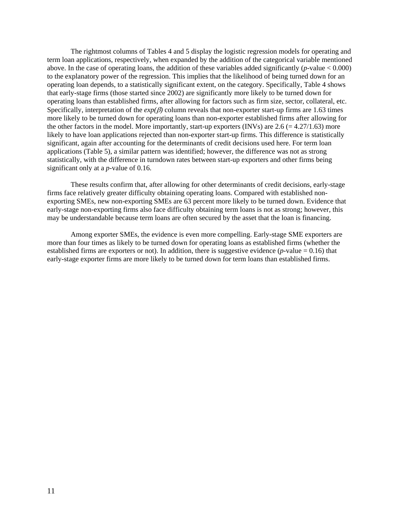The rightmost columns of Tables 4 and 5 display the logistic regression models for operating and term loan applications, respectively, when expanded by the addition of the categorical variable mentioned above. In the case of operating loans, the addition of these variables added significantly (*p*-value < 0.000) to the explanatory power of the regression. This implies that the likelihood of being turned down for an operating loan depends, to a statistically significant extent, on the category. Specifically, Table 4 shows that early-stage firms (those started since 2002) are significantly more likely to be turned down for operating loans than established firms, after allowing for factors such as firm size, sector, collateral, etc. Specifically, interpretation of the  $exp(\beta)$  column reveals that non-exporter start-up firms are 1.63 times more likely to be turned down for operating loans than non-exporter established firms after allowing for the other factors in the model. More importantly, start-up exporters (INVs) are  $2.6 = 4.27/1.63$ ) more likely to have loan applications rejected than non-exporter start-up firms. This difference is statistically significant, again after accounting for the determinants of credit decisions used here. For term loan applications (Table 5), a similar pattern was identified; however, the difference was not as strong statistically, with the difference in turndown rates between start-up exporters and other firms being significant only at a *p*-value of 0.16.

These results confirm that, after allowing for other determinants of credit decisions, early-stage firms face relatively greater difficulty obtaining operating loans. Compared with established nonexporting SMEs, new non-exporting SMEs are 63 percent more likely to be turned down. Evidence that early-stage non-exporting firms also face difficulty obtaining term loans is not as strong; however, this may be understandable because term loans are often secured by the asset that the loan is financing.

Among exporter SMEs, the evidence is even more compelling. Early-stage SME exporters are more than four times as likely to be turned down for operating loans as established firms (whether the established firms are exporters or not). In addition, there is suggestive evidence  $(p$ -value = 0.16) that early-stage exporter firms are more likely to be turned down for term loans than established firms.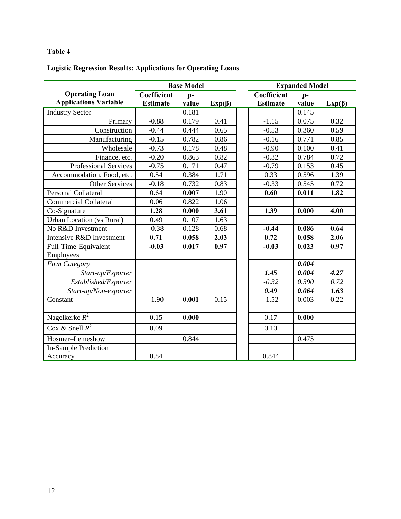# **Logistic Regression Results: Applications for Operating Loans**

|                                  | <b>Base Model</b>   |       |              | <b>Expanded Model</b> |       |              |  |
|----------------------------------|---------------------|-------|--------------|-----------------------|-------|--------------|--|
| <b>Operating Loan</b>            | Coefficient<br>$p-$ |       |              | Coefficient           | $p-$  |              |  |
| <b>Applications Variable</b>     | <b>Estimate</b>     | value | $Exp(\beta)$ | <b>Estimate</b>       | value | $Exp(\beta)$ |  |
| <b>Industry Sector</b>           |                     | 0.181 |              |                       | 0.145 |              |  |
| Primary                          | $-0.88$             | 0.179 | 0.41         | $-1.15$               | 0.075 | 0.32         |  |
| Construction                     | $-0.44$             | 0.444 | 0.65         | $-0.53$               | 0.360 | 0.59         |  |
| Manufacturing                    | $-0.15$             | 0.782 | 0.86         | $-0.16$               | 0.771 | 0.85         |  |
| Wholesale                        | $-0.73$             | 0.178 | 0.48         | $-0.90$               | 0.100 | 0.41         |  |
| Finance, etc.                    | $-0.20$             | 0.863 | 0.82         | $-0.32$               | 0.784 | 0.72         |  |
| Professional Services            | $-0.75$             | 0.171 | 0.47         | $-0.79$               | 0.153 | 0.45         |  |
| Accommodation, Food, etc.        | 0.54                | 0.384 | 1.71         | 0.33                  | 0.596 | 1.39         |  |
| <b>Other Services</b>            | $-0.18$             | 0.732 | 0.83         | $-0.33$               | 0.545 | 0.72         |  |
| Personal Collateral              | 0.64                | 0.007 | 1.90         | 0.60                  | 0.011 | 1.82         |  |
| <b>Commercial Collateral</b>     | 0.06                | 0.822 | 1.06         |                       |       |              |  |
| Co-Signature                     | 1.28                | 0.000 | 3.61         | 1.39                  | 0.000 | 4.00         |  |
| <b>Urban Location (vs Rural)</b> | 0.49                | 0.107 | 1.63         |                       |       |              |  |
| No R&D Investment                | $-0.38$             | 0.128 | 0.68         | $-0.44$               | 0.086 | 0.64         |  |
| Intensive R&D Investment         | 0.71                | 0.058 | 2.03         | 0.72                  | 0.058 | 2.06         |  |
| Full-Time-Equivalent             | $-0.03$             | 0.017 | 0.97         | $-0.03$               | 0.023 | 0.97         |  |
| Employees                        |                     |       |              |                       |       |              |  |
| <b>Firm Category</b>             |                     |       |              |                       | 0.004 |              |  |
| Start-up/Exporter                |                     |       |              | 1.45                  | 0.004 | 4.27         |  |
| Established/Exporter             |                     |       |              | $-0.32$               | 0.390 | 0.72         |  |
| Start-up/Non-exporter            |                     |       |              | 0.49                  | 0.064 | 1.63         |  |
| Constant                         | $-1.90$             | 0.001 | 0.15         | $-1.52$               | 0.003 | 0.22         |  |
|                                  |                     |       |              |                       |       |              |  |
| Nagelkerke $R^2$                 | 0.15                | 0.000 |              | 0.17                  | 0.000 |              |  |
| Cox & Snell $R^2$                | 0.09                |       |              | 0.10                  |       |              |  |
| Hosmer-Lemeshow                  |                     | 0.844 |              |                       | 0.475 |              |  |
| <b>In-Sample Prediction</b>      |                     |       |              |                       |       |              |  |
| Accuracy                         | 0.84                |       |              | 0.844                 |       |              |  |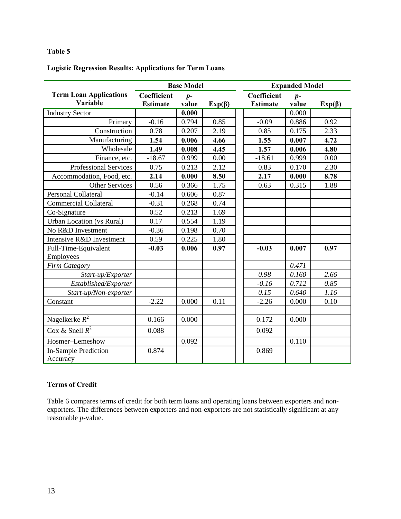# **Logistic Regression Results: Applications for Term Loans**

|                                                  | <b>Base Model</b>              |               |              | <b>Expanded Model</b>          |               |              |  |
|--------------------------------------------------|--------------------------------|---------------|--------------|--------------------------------|---------------|--------------|--|
| <b>Term Loan Applications</b><br><b>Variable</b> | Coefficient<br><b>Estimate</b> | $p-$<br>value | $Exp(\beta)$ | Coefficient<br><b>Estimate</b> | $p-$<br>value | $Exp(\beta)$ |  |
| <b>Industry Sector</b>                           |                                | 0.000         |              |                                | 0.000         |              |  |
| Primary                                          | $-0.16$                        | 0.794         | 0.85         | $-0.09$                        | 0.886         | 0.92         |  |
| Construction                                     | 0.78                           | 0.207         | 2.19         | 0.85                           | 0.175         | 2.33         |  |
| Manufacturing                                    | 1.54                           | 0.006         | 4.66         | 1.55                           | 0.007         | 4.72         |  |
| Wholesale                                        | 1.49                           | 0.008         | 4.45         | 1.57                           | 0.006         | 4.80         |  |
| Finance, etc.                                    | $-18.67$                       | 0.999         | 0.00         | $-18.61$                       | 0.999         | 0.00         |  |
| Professional Services                            | 0.75                           | 0.213         | 2.12         | 0.83                           | 0.170         | 2.30         |  |
| Accommodation, Food, etc.                        | 2.14                           | 0.000         | 8.50         | 2.17                           | 0.000         | 8.78         |  |
| <b>Other Services</b>                            | 0.56                           | 0.366         | 1.75         | 0.63                           | 0.315         | 1.88         |  |
| <b>Personal Collateral</b>                       | $-0.14$                        | 0.606         | 0.87         |                                |               |              |  |
| Commercial Collateral                            | $-0.31$                        | 0.268         | 0.74         |                                |               |              |  |
| Co-Signature                                     | 0.52                           | 0.213         | 1.69         |                                |               |              |  |
| <b>Urban Location</b> (vs Rural)                 | 0.17                           | 0.554         | 1.19         |                                |               |              |  |
| No R&D Investment                                | $-0.36$                        | 0.198         | 0.70         |                                |               |              |  |
| Intensive R&D Investment                         | 0.59                           | 0.225         | 1.80         |                                |               |              |  |
| Full-Time-Equivalent                             | $-0.03$                        | 0.006         | 0.97         | $-0.03$                        | 0.007         | 0.97         |  |
| Employees                                        |                                |               |              |                                |               |              |  |
| Firm Category                                    |                                |               |              |                                | 0.471         |              |  |
| Start-up/Exporter                                |                                |               |              | 0.98                           | 0.160         | 2.66         |  |
| Established/Exporter                             |                                |               |              | $-0.16$                        | 0.712         | 0.85         |  |
| Start-up/Non-exporter                            |                                |               |              | $\overline{0.15}$              | 0.640         | 1.16         |  |
| Constant                                         | $-2.22$                        | 0.000         | 0.11         | $-2.26$                        | 0.000         | 0.10         |  |
|                                                  |                                |               |              |                                |               |              |  |
| Nagelkerke $R^2$                                 | 0.166                          | 0.000         |              | 0.172                          | 0.000         |              |  |
| Cox & Snell $R^2$                                | 0.088                          |               |              | 0.092                          |               |              |  |
| Hosmer-Lemeshow                                  |                                | 0.092         |              |                                | 0.110         |              |  |
| <b>In-Sample Prediction</b><br>Accuracy          | 0.874                          |               |              | 0.869                          |               |              |  |

# **Terms of Credit**

Table 6 compares terms of credit for both term loans and operating loans between exporters and nonexporters. The differences between exporters and non-exporters are not statistically significant at any reasonable *p*-value.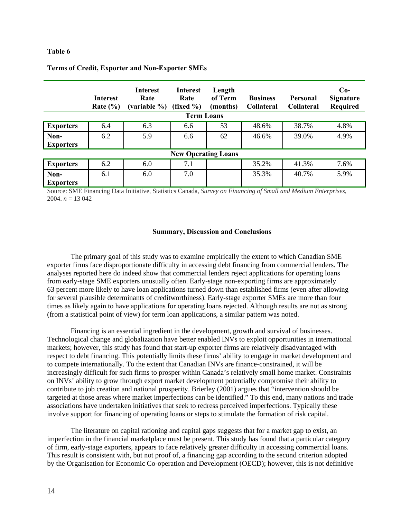|                            | <b>Interest</b><br>Rate $(\% )$ | <b>Interest</b><br>Rate<br>(variable $\%$ ) (fixed $\%$ ) | Interest<br>Rate | Length<br>of Term<br>(months) | <b>Business</b><br>Collateral | Personal<br>Collateral | $Co-$<br><b>Signature</b><br><b>Required</b> |  |  |  |
|----------------------------|---------------------------------|-----------------------------------------------------------|------------------|-------------------------------|-------------------------------|------------------------|----------------------------------------------|--|--|--|
| <b>Term Loans</b>          |                                 |                                                           |                  |                               |                               |                        |                                              |  |  |  |
| <b>Exporters</b>           | 6.4                             | 6.3                                                       | 6.6              | 53                            | 48.6%                         | 38.7%                  | 4.8%                                         |  |  |  |
| Non-<br><b>Exporters</b>   | 6.2                             | 5.9                                                       | 6.6              | 62                            | 46.6%                         | 39.0%                  | 4.9%                                         |  |  |  |
| <b>New Operating Loans</b> |                                 |                                                           |                  |                               |                               |                        |                                              |  |  |  |
| <b>Exporters</b>           | 6.2                             | 6.0                                                       | 7.1              |                               | 35.2%                         | 41.3%                  | 7.6%                                         |  |  |  |
| Non-<br><b>Exporters</b>   | 6.1                             | 6.0                                                       | 7.0              |                               | 35.3%                         | 40.7%                  | 5.9%                                         |  |  |  |

# **Terms of Credit, Exporter and Non-Exporter SMEs**

Source: SME Financing Data Initiative, Statistics Canada, *Survey on Financing of Small and Medium Enterprises*, 2004.  $n = 13042$ 

#### **Summary, Discussion and Conclusions**

The primary goal of this study was to examine empirically the extent to which Canadian SME exporter firms face disproportionate difficulty in accessing debt financing from commercial lenders. The analyses reported here do indeed show that commercial lenders reject applications for operating loans from early-stage SME exporters unusually often. Early-stage non-exporting firms are approximately 63 percent more likely to have loan applications turned down than established firms (even after allowing for several plausible determinants of creditworthiness). Early-stage exporter SMEs are more than four times as likely again to have applications for operating loans rejected. Although results are not as strong (from a statistical point of view) for term loan applications, a similar pattern was noted.

Financing is an essential ingredient in the development, growth and survival of businesses. Technological change and globalization have better enabled INVs to exploit opportunities in international markets; however, this study has found that start-up exporter firms are relatively disadvantaged with respect to debt financing. This potentially limits these firms' ability to engage in market development and to compete internationally. To the extent that Canadian INVs are finance-constrained, it will be increasingly difficult for such firms to prosper within Canada's relatively small home market. Constraints on INVs' ability to grow through export market development potentially compromise their ability to contribute to job creation and national prosperity. Brierley (2001) argues that "intervention should be targeted at those areas where market imperfections can be identified." To this end, many nations and trade associations have undertaken initiatives that seek to redress perceived imperfections. Typically these involve support for financing of operating loans or steps to stimulate the formation of risk capital.

The literature on capital rationing and capital gaps suggests that for a market gap to exist, an imperfection in the financial marketplace must be present. This study has found that a particular category of firm, early-stage exporters, appears to face relatively greater difficulty in accessing commercial loans. This result is consistent with, but not proof of, a financing gap according to the second criterion adopted by the Organisation for Economic Co-operation and Development (OECD); however, this is not definitive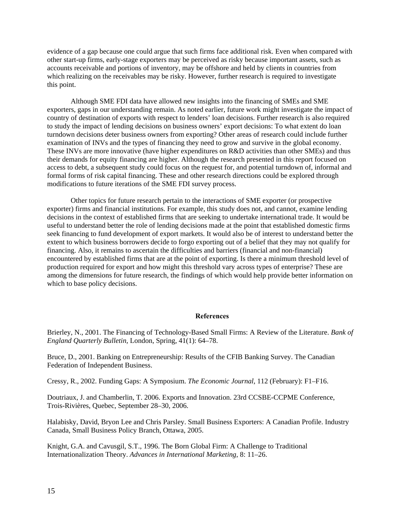evidence of a gap because one could argue that such firms face additional risk. Even when compared with other start-up firms, early-stage exporters may be perceived as risky because important assets, such as accounts receivable and portions of inventory, may be offshore and held by clients in countries from which realizing on the receivables may be risky. However, further research is required to investigate this point.

Although SME FDI data have allowed new insights into the financing of SMEs and SME exporters, gaps in our understanding remain. As noted earlier, future work might investigate the impact of country of destination of exports with respect to lenders' loan decisions. Further research is also required to study the impact of lending decisions on business owners' export decisions: To what extent do loan turndown decisions deter business owners from exporting? Other areas of research could include further examination of INVs and the types of financing they need to grow and survive in the global economy. These INVs are more innovative (have higher expenditures on R&D activities than other SMEs) and thus their demands for equity financing are higher. Although the research presented in this report focused on access to debt, a subsequent study could focus on the request for, and potential turndown of, informal and formal forms of risk capital financing. These and other research directions could be explored through modifications to future iterations of the SME FDI survey process.

Other topics for future research pertain to the interactions of SME exporter (or prospective exporter) firms and financial institutions. For example, this study does not, and cannot, examine lending decisions in the context of established firms that are seeking to undertake international trade. It would be useful to understand better the role of lending decisions made at the point that established domestic firms seek financing to fund development of export markets. It would also be of interest to understand better the extent to which business borrowers decide to forgo exporting out of a belief that they may not qualify for financing. Also, it remains to ascertain the difficulties and barriers (financial and non-financial) encountered by established firms that are at the point of exporting. Is there a minimum threshold level of production required for export and how might this threshold vary across types of enterprise? These are among the dimensions for future research, the findings of which would help provide better information on which to base policy decisions.

#### **References**

Brierley, N., 2001. The Financing of Technology-Based Small Firms: A Review of the Literature. *Bank of England Quarterly Bulletin,* London, Spring, 41(1): 64–78.

Bruce, D., 2001. Banking on Entrepreneurship: Results of the CFIB Banking Survey. The Canadian Federation of Independent Business.

Cressy, R., 2002. Funding Gaps: A Symposium. *The Economic Journal*, 112 (February): F1–F16.

Doutriaux, J. and Chamberlin, T. 2006. Exports and Innovation. 23rd CCSBE-CCPME Conference, Trois-Rivières, Quebec, September 28–30, 2006.

Halabisky, David, Bryon Lee and Chris Parsley. Small Business Exporters: A Canadian Profile. Industry Canada, Small Business Policy Branch, Ottawa, 2005.

Knight, G.A. and Cavusgil, S.T., 1996. The Born Global Firm: A Challenge to Traditional Internationalization Theory. *Advances in International Marketing*, 8: 11–26.